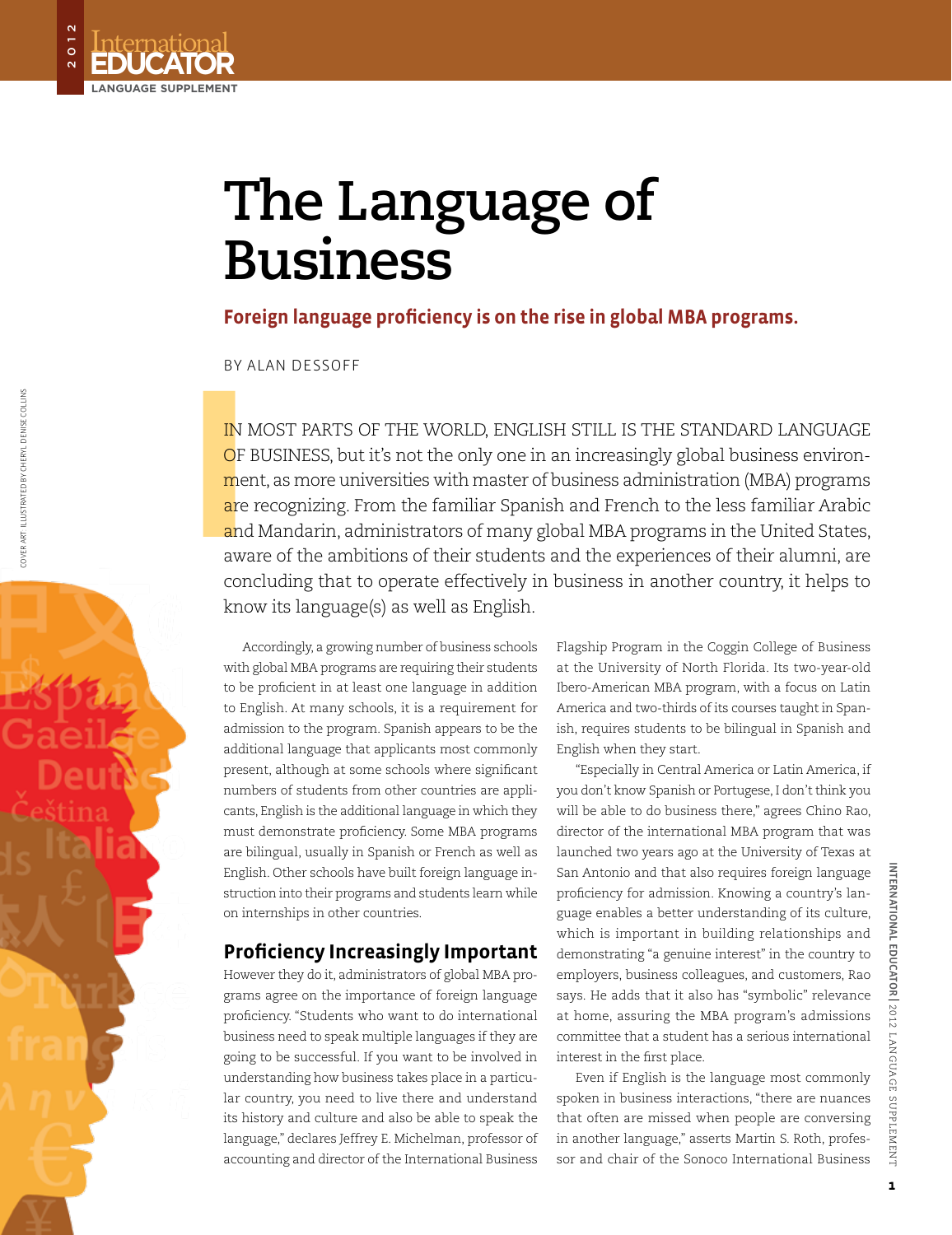# **The Language of Business**

**Foreign language proficiency is on the rise in global MBA programs.**

By Alan Dessoff

**Educational**<br>**EDUCATOR** 

**language supplement**

 $\frac{1}{\circ}$ 

**I**<br>
IN M<br>
OF I<br>
mer<br>
are<br>
and<br>
awa<br>
age In most parts of the world, English still is the standard language OF BUSINESS, but it's not the only one in an increasingly global business environment, as more universities with master of business administration (MBA) programs are recognizing. From the familiar Spanish and French to the less familiar Arabic and Mandarin, administrators of many global MBA programs in the United States, aware of the ambitions of their students and the experiences of their alumni, are concluding that to operate effectively in business in another country, it helps to know its language(s) as well as English.

Accordingly, a growing number of business schools with global MBA programs are requiring their students to be proficient in at least one language in addition to English. At many schools, it is a requirement for admission to the program. Spanish appears to be the additional language that applicants most commonly present, although at some schools where significant numbers of students from other countries are applicants, English is the additional language in which they must demonstrate proficiency. Some MBA programs are bilingual, usually in Spanish or French as well as English. Other schools have built foreign language instruction into their programs and students learn while on internships in other countries.

## **Proficiency Increasingly Important**

However they do it, administrators of global MBA programs agree on the importance of foreign language proficiency. "Students who want to do international business need to speak multiple languages if they are going to be successful. If you want to be involved in understanding how business takes place in a particular country, you need to live there and understand its history and culture and also be able to speak the language," declares Jeffrey E. Michelman, professor of accounting and director of the International Business

Flagship Program in the Coggin College of Business at the University of North Florida. Its two-year-old Ibero-American MBA program, with a focus on Latin America and two-thirds of its courses taught in Spanish, requires students to be bilingual in Spanish and English when they start.

"Especially in Central America or Latin America, if you don't know Spanish or Portugese, I don't think you will be able to do business there," agrees Chino Rao, director of the international MBA program that was launched two years ago at the University of Texas at San Antonio and that also requires foreign language proficiency for admission. Knowing a country's language enables a better understanding of its culture, which is important in building relationships and demonstrating "a genuine interest" in the country to employers, business colleagues, and customers, Rao says. He adds that it also has "symbolic" relevance at home, assuring the MBA program's admissions committee that a student has a serious international interest in the first place.

Even if English is the language most commonly spoken in business interactions, "there are nuances that often are missed when people are conversing in another language," asserts Martin S. Roth, professor and chair of the Sonoco International Business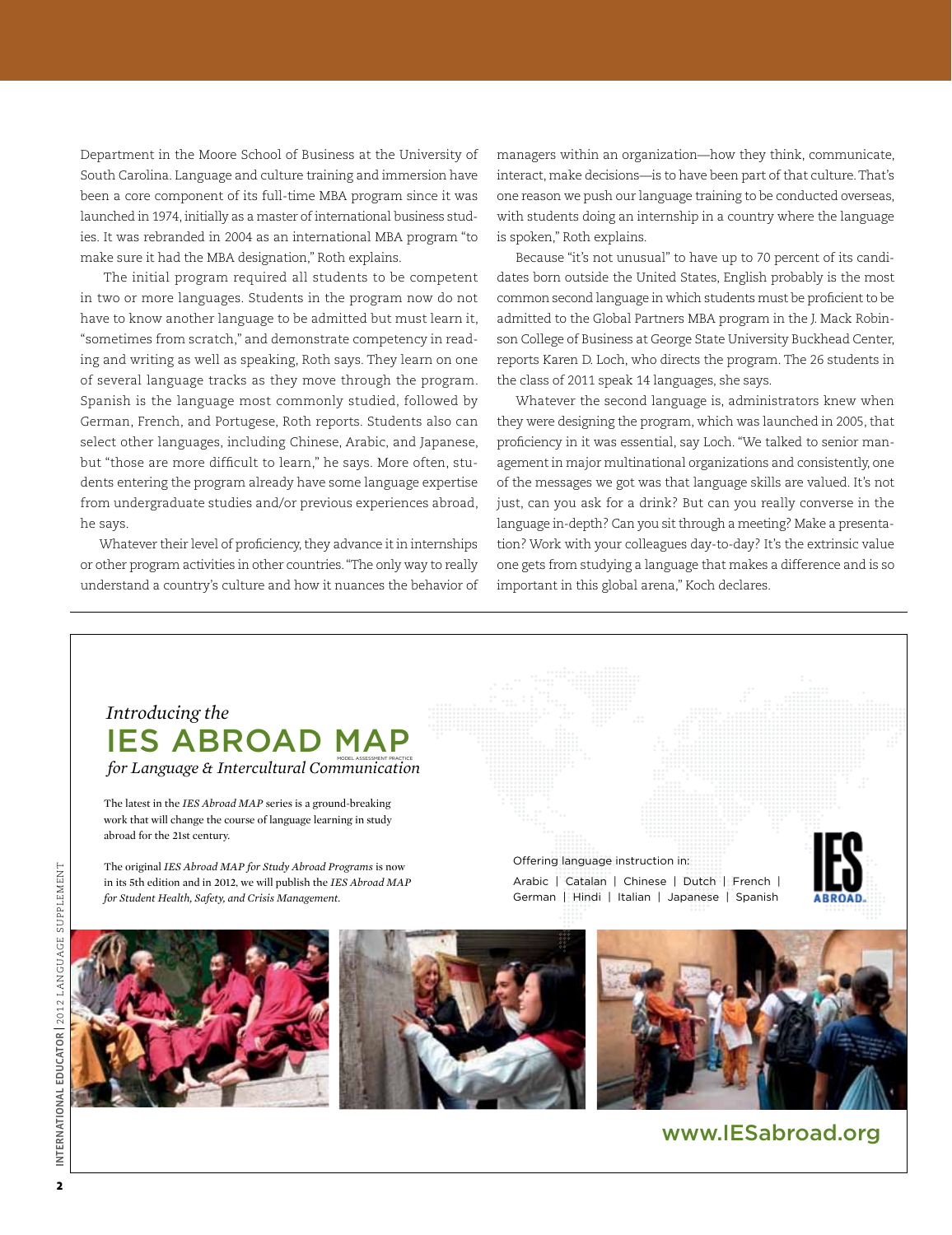Department in the Moore School of Business at the University of South Carolina. Language and culture training and immersion have been a core component of its full-time MBA program since it was launched in 1974, initially as a master of international business studies. It was rebranded in 2004 as an international MBA program "to make sure it had the MBA designation," Roth explains.

The initial program required all students to be competent in two or more languages. Students in the program now do not have to know another language to be admitted but must learn it, "sometimes from scratch," and demonstrate competency in reading and writing as well as speaking, Roth says. They learn on one of several language tracks as they move through the program. Spanish is the language most commonly studied, followed by German, French, and Portugese, Roth reports. Students also can select other languages, including Chinese, Arabic, and Japanese, but "those are more difficult to learn," he says. More often, students entering the program already have some language expertise from undergraduate studies and/or previous experiences abroad, he says.

Whatever their level of proficiency, they advance it in internships or other program activities in other countries. "The only way to really understand a country's culture and how it nuances the behavior of managers within an organization—how they think, communicate, interact, make decisions—is to have been part of that culture. That's one reason we push our language training to be conducted overseas, with students doing an internship in a country where the language is spoken," Roth explains.

Because "it's not unusual" to have up to 70 percent of its candidates born outside the United States, English probably is the most common second language in which students must be proficient to be admitted to the Global Partners MBA program in the J. Mack Robinson College of Business at George State University Buckhead Center, reports Karen D. Loch, who directs the program. The 26 students in the class of 2011 speak 14 languages, she says.

Whatever the second language is, administrators knew when they were designing the program, which was launched in 2005, that proficiency in it was essential, say Loch. "We talked to senior management in major multinational organizations and consistently, one of the messages we got was that language skills are valued. It's not just, can you ask for a drink? But can you really converse in the language in-depth? Can you sit through a meeting? Make a presentation? Work with your colleagues day-to-day? It's the extrinsic value one gets from studying a language that makes a difference and is so important in this global arena," Koch declares.

## IES ABROAD MAP *Introducing the*

for Language & Intercultural Communication

The latest in the *IES Abroad MAP* series is a ground-breaking work that will change the course of language learning in study abroad for the 21st century.

The original *IES Abroad MAP for Study Abroad Programs* is now in its 5th edition and in 2012, we will publish the *IES Abroad MAP for Student Health, Safety, and Crisis Management.*

Offering language instruction in: Arabic | Catalan | Chinese | Dutch | French | German | Hindi | Italian | Japanese | Spanish



www.IESabroad.org



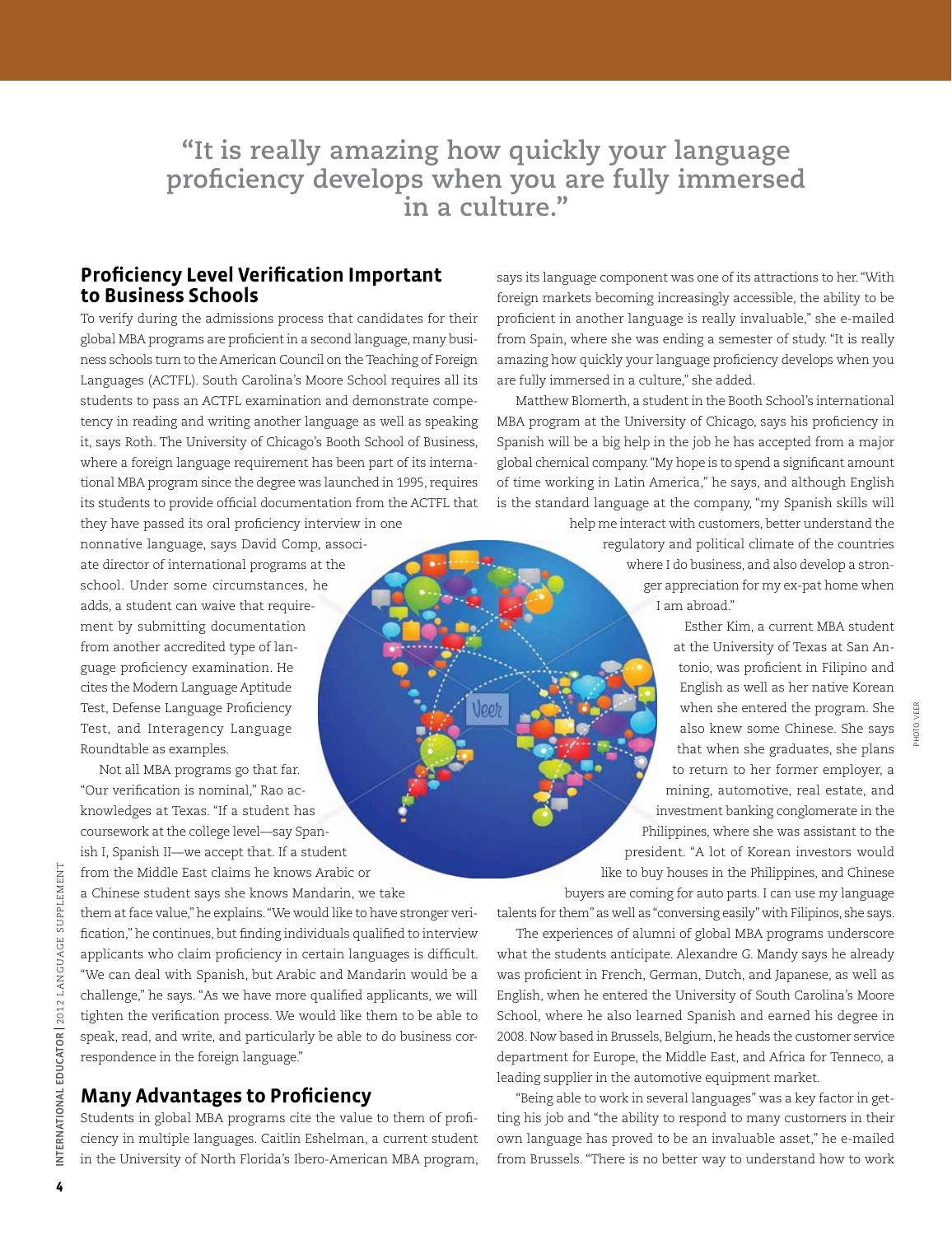**"It is really amazing how quickly your language proficiency develops when you are fully immersed in a culture."**

### **Proficiency Level Verification Important to Business Schools**

To verify during the admissions process that candidates for their global MBA programs are proficient in a second language, many business schools turn to the American Council on the Teaching of Foreign Languages (ACTFL). South Carolina's Moore School requires all its students to pass an ACTFL examination and demonstrate competency in reading and writing another language as well as speaking it, says Roth. The University of Chicago's Booth School of Business, where a foreign language requirement has been part of its international MBA program since the degree was launched in 1995, requires its students to provide official documentation from the ACTFL that

they have passed its oral proficiency interview in one nonnative language, says David Comp, associate director of international programs at the school. Under some circumstances, he adds, a student can waive that requirement by submitting documentation from another accredited type of language proficiency examination. He cites the Modern Language Aptitude Test, Defense Language Proficiency Test, and Interagency Language Roundtable as examples.

Not all MBA programs go that far.

"Our verification is nominal," Rao acknowledges at Texas. "If a student has coursework at the college level—say Spanish I, Spanish II—we accept that. If a student from the Middle East claims he knows Arabic or a Chinese student says she knows Mandarin, we take them at face value," he explains. "We would like to have stronger verification," he continues, but finding individuals qualified to interview applicants who claim proficiency in certain languages is difficult. "We can deal with Spanish, but Arabic and Mandarin would be a challenge," he says. "As we have more qualified applicants, we will tighten the verification process. We would like them to be able to speak, read, and write, and particularly be able to do business cor-

### **Many Advantages to Proficiency**

respondence in the foreign language."

Students in global MBA programs cite the value to them of proficiency in multiple languages. Caitlin Eshelman, a current student in the University of North Florida's Ibero-American MBA program,

says its language component was one of its attractions to her. "With foreign markets becoming increasingly accessible, the ability to be proficient in another language is really invaluable," she e-mailed from Spain, where she was ending a semester of study. "It is really amazing how quickly your language proficiency develops when you are fully immersed in a culture," she added.

Matthew Blomerth, a student in the Booth School's international MBA program at the University of Chicago, says his proficiency in Spanish will be a big help in the job he has accepted from a major global chemical company. "My hope is to spend a significant amount of time working in Latin America," he says, and although English is the standard language at the company, "my Spanish skills will

> help me interact with customers, better understand the regulatory and political climate of the countries where I do business, and also develop a stronger appreciation for my ex-pat home when I am abroad."

Esther Kim, a current MBA student at the University of Texas at San Antonio, was proficient in Filipino and English as well as her native Korean when she entered the program. She also knew some Chinese. She says that when she graduates, she plans to return to her former employer, a mining, automotive, real estate, and investment banking conglomerate in the Philippines, where she was assistant to the president. "A lot of Korean investors would like to buy houses in the Philippines, and Chinese buyers are coming for auto parts. I can use my language

talents for them" as well as "conversing easily" with Filipinos, she says.

The experiences of alumni of global MBA programs underscore what the students anticipate. Alexandre G. Mandy says he already was proficient in French, German, Dutch, and Japanese, as well as English, when he entered the University of South Carolina's Moore School, where he also learned Spanish and earned his degree in 2008. Now based in Brussels, Belgium, he heads the customer service department for Europe, the Middle East, and Africa for Tenneco, a leading supplier in the automotive equipment market.

"Being able to work in several languages" was a key factor in getting his job and "the ability to respond to many customers in their own language has proved to be an invaluable asset," he e-mailed from Brussels. "There is no better way to understand how to work